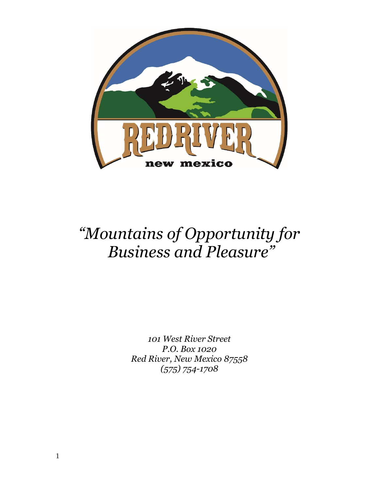

# *"Mountains of Opportunity for Business and Pleasure"*

*101 West River Street P.O. Box 1020 Red River, New Mexico 87558 (575) 754-1708*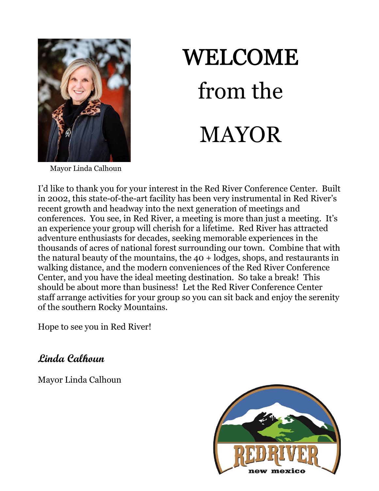

# **WELCOME** from the MAYOR

Mayor Linda Calhoun

I'd like to thank you for your interest in the Red River Conference Center. Built in 2002, this state-of-the-art facility has been very instrumental in Red River's recent growth and headway into the next generation of meetings and conferences. You see, in Red River, a meeting is more than just a meeting. It's an experience your group will cherish for a lifetime. Red River has attracted adventure enthusiasts for decades, seeking memorable experiences in the thousands of acres of national forest surrounding our town. Combine that with the natural beauty of the mountains, the 40 + lodges, shops, and restaurants in walking distance, and the modern conveniences of the Red River Conference Center, and you have the ideal meeting destination. So take a break! This should be about more than business! Let the Red River Conference Center staff arrange activities for your group so you can sit back and enjoy the serenity of the southern Rocky Mountains.

Hope to see you in Red River!

**Linda Calhoun**

Mayor Linda Calhoun

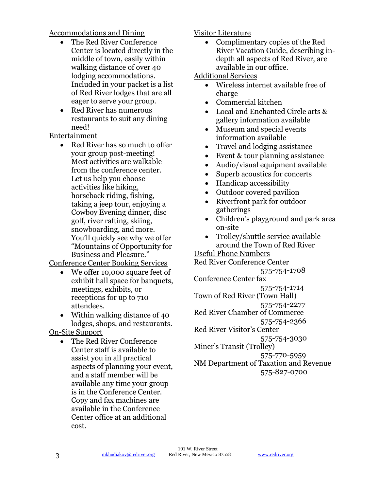# Accommodations and Dining

- The Red River Conference Center is located directly in the middle of town, easily within walking distance of over 40 lodging accommodations. Included in your packet is a list of Red River lodges that are all eager to serve your group.
- Red River has numerous restaurants to suit any dining need!

Entertainment

Red River has so much to offer your group post-meeting! Most activities are walkable from the conference center. Let us help you choose activities like hiking, horseback riding, fishing, taking a jeep tour, enjoying a Cowboy Evening dinner, disc golf, river rafting, skiing, snowboarding, and more. You'll quickly see why we offer "Mountains of Opportunity for Business and Pleasure."

Conference Center Booking Services

- We offer 10,000 square feet of exhibit hall space for banquets, meetings, exhibits, or receptions for up to 710 attendees.
- Within walking distance of 40 lodges, shops, and restaurants.

On-Site Support

• The Red River Conference Center staff is available to assist you in all practical aspects of planning your event, and a staff member will be available any time your group is in the Conference Center. Copy and fax machines are available in the Conference Center office at an additional cost.

# Visitor Literature

• Complimentary copies of the Red River Vacation Guide, describing indepth all aspects of Red River, are available in our office.

Additional Services

- Wireless internet available free of charge
- Commercial kitchen
- Local and Enchanted Circle arts & gallery information available
- Museum and special events information available
- Travel and lodging assistance
- Event & tour planning assistance
- Audio/visual equipment available
- Superb acoustics for concerts
- Handicap accessibility
- Outdoor covered pavilion
- Riverfront park for outdoor gatherings
- Children's playground and park area on-site
- Trolley/shuttle service available around the Town of Red River

Useful Phone Numbers Red River Conference Center

575-754-1708 Conference Center fax 575-754-1714 Town of Red River (Town Hall) 575-754-2277 Red River Chamber of Commerce 575-754-2366 Red River Visitor's Center 575-754-3030 Miner's Transit (Trolley) 575-770-5959 NM Department of Taxation and Revenue 575-827-0700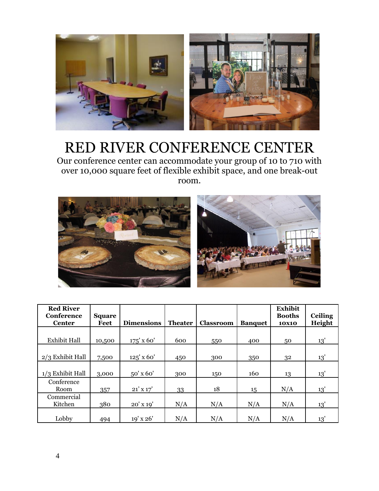

# RED RIVER CONFERENCE CENTER

Our conference center can accommodate your group of 10 to 710 with over 10,000 square feet of flexible exhibit space, and one break-out room.



| <b>Red River</b><br>Conference<br><b>Center</b> | <b>Square</b><br>Feet | <b>Dimensions</b> | <b>Theater</b> | <b>Classroom</b> | <b>Banquet</b> | <b>Exhibit</b><br><b>Booths</b><br><b>10X10</b> | <b>Ceiling</b><br>Height |
|-------------------------------------------------|-----------------------|-------------------|----------------|------------------|----------------|-------------------------------------------------|--------------------------|
|                                                 |                       |                   |                |                  |                |                                                 |                          |
| <b>Exhibit Hall</b>                             | 10,500                | $175'$ x 60'      | 600            | 550              | 400            | 50                                              | 13'                      |
| $2/3$ Exhibit Hall                              | 7,500                 | $125'$ x 60'      | 450            | 300              | 350            | 32                                              | 13'                      |
| $1/3$ Exhibit Hall                              | 3,000                 | 50' x 60'         | 300            | 150              | 160            | 13                                              | 13'                      |
| Conference<br>Room                              | 357                   | $21'$ X $17'$     | 33             | 18               | 15             | N/A                                             | 13'                      |
| Commercial<br>Kitchen                           | 380                   | $20'$ X $19'$     | N/A            | N/A              | N/A            | N/A                                             | 13'                      |
| Lobby                                           | 494                   | 19' x 26'         | N/A            | N/A              | N/A            | N/A                                             | 13'                      |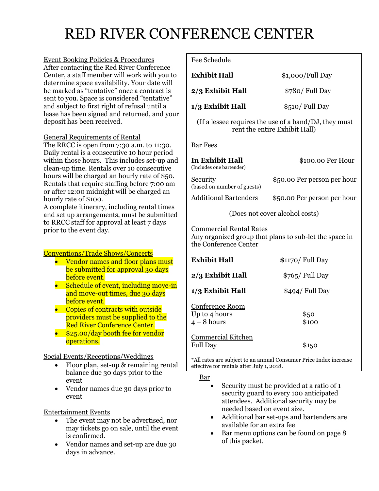# RED RIVER CONFERENCE CENTER

Event Booking Policies & Procedures After contacting the Red River Conference Center, a staff member will work with you to determine space availability. Your date will be marked as "tentative" once a contract is sent to you. Space is considered "tentative" and subject to first right of refusal until a lease has been signed and returned, and your deposit has been received.

## General Requirements of Rental

The RRCC is open from 7:30 a.m. to 11:30. Daily rental is a consecutive 10 hour period within those hours. This includes set-up and clean-up time. Rentals over 10 consecutive hours will be charged an hourly rate of \$50. Rentals that require staffing before 7:00 am or after 12:00 midnight will be charged an hourly rate of \$100.

A complete itinerary, including rental times and set up arrangements, must be submitted to RRCC staff for approval at least 7 days prior to the event day.

## Conventions/Trade Shows/Concerts

- Vendor names and floor plans must be submitted for approval 30 days before event.
- Schedule of event, including move-in and move-out times, due 30 days before event.
- Copies of contracts with outside providers must be supplied to the Red River Conference Center.
- \$25.00/day booth fee for vendor operations.

## Social Events/Receptions/Weddings

- Floor plan, set-up & remaining rental balance due 30 days prior to the event
- Vendor names due 30 days prior to event

## Entertainment Events

- The event may not be advertised, nor may tickets go on sale, until the event is confirmed.
- Vendor names and set-up are due 30 days in advance.

#### Fee Schedule

| <b>Exhibit Hall</b>                                     | \$1,000/Full Day                                                                       |
|---------------------------------------------------------|----------------------------------------------------------------------------------------|
| 2/3 Exhibit Hall                                        | \$780/ Full Day                                                                        |
| 1/3 Exhibit Hall                                        | \$510/ Full Day                                                                        |
|                                                         | (If a lessee requires the use of a band/DJ, they must<br>rent the entire Exhibit Hall) |
| <u>Bar Fees</u>                                         |                                                                                        |
| In Exhibit Hall<br>(Includes one bartender)             | \$100.00 Per Hour                                                                      |
| Security<br>(based on number of guests)                 | \$50.00 Per person per hour                                                            |
| Additional Bartenders                                   | \$50.00 Per person per hour                                                            |
|                                                         | (Does not cover alcohol costs)                                                         |
| <b>Commercial Rental Rates</b><br>the Conference Center | Any organized group that plans to sub-let the space in                                 |
| <b>Exhibit Hall</b>                                     | \$1170/ Full Day                                                                       |
| 2/3 Exhibit Hall                                        | \$765/ Full Day                                                                        |
| 1/3 Exhibit Hall                                        | \$494/ Full Day                                                                        |
| <u>Conference Room</u><br>Up to 4 hours<br>$4-8$ hours  | \$50<br>\$100                                                                          |
| <u>Commercial Kitchen</u><br><b>Full Day</b>            | \$150                                                                                  |
|                                                         |                                                                                        |

\*All rates are subject to an annual Consumer Price Index increase effective for rentals after July 1, 2018.

Bar

- Security must be provided at a ratio of 1 security guard to every 100 anticipated attendees. Additional security may be needed based on event size.
- Additional bar set-ups and bartenders are available for an extra fee
- Bar menu options can be found on page 8 of this packet.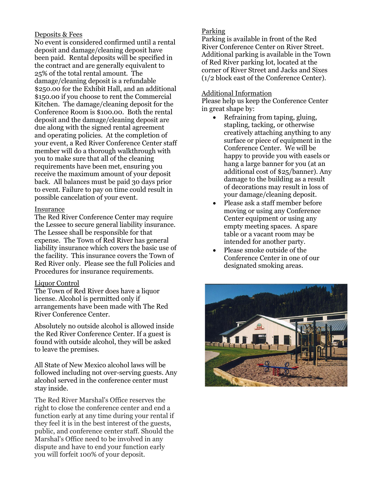#### Deposits & Fees

damage/cleaning deposit is a refundable No event is considered confirmed until a rental deposit and damage/cleaning deposit have been paid. Rental deposits will be specified in the contract and are generally equivalent to 25% of the total rental amount. The \$250.00 for the Exhibit Hall, and an additional \$150.00 if you choose to rent the Commercial Kitchen. The damage/cleaning deposit for the Conference Room is \$100.00. Both the rental deposit and the damage/cleaning deposit are due along with the signed rental agreement and operating policies. At the completion of your event, a Red River Conference Center staff member will do a thorough walkthrough with you to make sure that all of the cleaning requirements have been met, ensuring you receive the maximum amount of your deposit back. All balances must be paid 30 days prior to event. Failure to pay on time could result in possible cancelation of your event.

#### Insurance

The Red River Conference Center may require the Lessee to secure general liability insurance. The Lessee shall be responsible for that expense. The Town of Red River has general liability insurance which covers the basic use of the facility. This insurance covers the Town of Red River only. Please see the full Policies and Procedures for insurance requirements.

#### Liquor Control

The Town of Red River does have a liquor license. Alcohol is permitted only if arrangements have been made with The Red River Conference Center.

Absolutely no outside alcohol is allowed inside the Red River Conference Center. If a guest is found with outside alcohol, they will be asked to leave the premises.

All State of New Mexico alcohol laws will be followed including not over-serving guests. Any alcohol served in the conference center must stay inside.

6 you will forfeit 100% of your deposit. The Red River Marshal's Office reserves the right to close the conference center and end a function early at any time during your rental if they feel it is in the best interest of the guests, public, and conference center staff. Should the Marshal's Office need to be involved in any dispute and have to end your function early

#### Parking

Parking is available in front of the Red River Conference Center on River Street. Additional parking is available in the Town of Red River parking lot, located at the corner of River Street and Jacks and Sixes (1/2 block east of the Conference Center).

#### Additional Information

Please help us keep the Conference Center in great shape by:

- Refraining from taping, gluing, stapling, tacking, or otherwise creatively attaching anything to any surface or piece of equipment in the Conference Center. We will be happy to provide you with easels or hang a large banner for you (at an additional cost of \$25/banner). Any damage to the building as a result of decorations may result in loss of your damage/cleaning deposit.
- Please ask a staff member before moving or using any Conference Center equipment or using any empty meeting spaces. A spare table or a vacant room may be intended for another party.
- Please smoke outside of the Conference Center in one of our designated smoking areas.

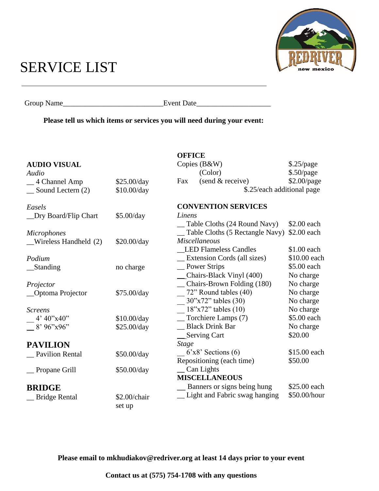# SERVICE LIST



Group Name\_\_\_\_\_\_\_\_\_\_\_\_\_\_\_\_\_\_\_\_\_\_\_\_\_\_\_Event Date\_\_\_\_\_\_\_\_\_\_\_\_\_\_\_\_\_\_\_\_

**Please tell us which items or services you will need during your event:**

|                                     |                                     | <b>OFFICE</b>                      |              |  |  |
|-------------------------------------|-------------------------------------|------------------------------------|--------------|--|--|
| <b>AUDIO VISUAL</b>                 |                                     | Copies (B&W)                       | \$.25/page   |  |  |
| Audio                               |                                     | (Color)                            | $$.50$ /page |  |  |
| 4 Channel Amp                       | \$25.00/day                         | (send & receive)<br>Fax            | \$2.00/page  |  |  |
| Sound Lectern (2)                   | \$10.00/day                         | \$.25/each additional page         |              |  |  |
| Easels                              |                                     | <b>CONVENTION SERVICES</b>         |              |  |  |
| _Dry Board/Flip Chart<br>\$5.00/day |                                     | Linens                             |              |  |  |
|                                     |                                     | Table Cloths (24 Round Navy)       | \$2.00 each  |  |  |
| <b>Microphones</b>                  |                                     | Table Cloths (5 Rectangle Navy)    | \$2.00 each  |  |  |
| Wireless Handheld (2)               | <b>Miscellaneous</b><br>\$20.00/day |                                    |              |  |  |
|                                     |                                     | <b>LED Flameless Candles</b>       | \$1.00 each  |  |  |
| Podium                              |                                     | Extension Cords (all sizes)        | \$10.00 each |  |  |
| _Standing                           | no charge                           | _Power Strips                      | \$5.00 each  |  |  |
|                                     |                                     | _Chairs-Black Vinyl (400)          | No charge    |  |  |
| Projector                           |                                     | Chairs-Brown Folding (180)         | No charge    |  |  |
| _Optoma Projector                   | \$75.00/day                         | 72" Round tables (40)              | No charge    |  |  |
|                                     |                                     | $30"x72"$ tables (30)              | No charge    |  |  |
| <b>Screens</b>                      |                                     | $18"x72"$ tables $(10)$            | No charge    |  |  |
| 4' 40''x40''                        | \$10.00/day                         | Torchiere Lamps (7)                | \$5.00 each  |  |  |
| $-$ 8' 96"x96"                      | \$25.00/day                         | _ Black Drink Bar                  | No charge    |  |  |
|                                     |                                     | Serving Cart                       | \$20.00      |  |  |
| <b>PAVILION</b>                     |                                     | <b>Stage</b>                       |              |  |  |
| <b>Pavilion Rental</b>              | \$50.00/day                         | $6'x8'$ Sections (6)               | \$15.00 each |  |  |
|                                     |                                     | Repositioning (each time)          | \$50.00      |  |  |
| Propane Grill                       | \$50.00/day                         | Can Lights                         |              |  |  |
|                                     |                                     | <b>MISCELLANEOUS</b>               |              |  |  |
| <b>BRIDGE</b>                       |                                     | <u>Banners</u> or signs being hung | \$25.00 each |  |  |
| <b>Bridge Rental</b>                | \$2.00/chair                        | _ Light and Fabric swag hanging    | \$50.00/hour |  |  |
|                                     | set up                              |                                    |              |  |  |

**Please email to mkhudiakov@redriver.org at least 14 days prior to your event**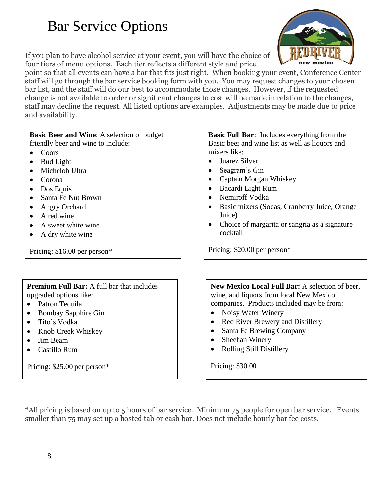# Bar Service Options

If you plan to have alcohol service at your event, you will have the choice of four tiers of menu options. Each tier reflects a different style and price

point so that all events can have a bar that fits just right. When booking your event, Conference Center staff will go through the bar service booking form with you. You may request changes to your chosen bar list, and the staff will do our best to accommodate those changes. However, if the requested change is not available to order or significant changes to cost will be made in relation to the changes, staff may decline the request. All listed options are examples. Adjustments may be made due to price and availability.

## **Basic Beer and Wine**: A selection of budget friendly beer and wine to include:

- Coors
- Bud Light
- Michelob Ultra
- Corona
- Dos Equis
- Santa Fe Nut Brown
- Angry Orchard
- A red wine
- A sweet white wine
- A dry white wine

Pricing: \$16.00 per person\*

# **Premium Full Bar:** A full bar that includes upgraded options like:

- Patron Tequila
- Bombay Sapphire Gin
- Tito's Vodka
- Knob Creek Whiskey
- Jim Beam
- Castillo Rum

Pricing: \$25.00 per person\*

# **Basic Full Bar:** Includes everything from the Basic beer and wine list as well as liquors and mixers like:

- Juarez Silver
- Seagram's Gin
- Captain Morgan Whiskey
- Bacardi Light Rum
- Nemiroff Vodka
- Basic mixers (Sodas, Cranberry Juice, Orange Juice)
- Choice of margarita or sangria as a signature cocktail

Pricing: \$20.00 per person\*

**New Mexico Local Full Bar:** A selection of beer, wine, and liquors from local New Mexico companies. Products included may be from:

- Noisy Water Winery
- Red River Brewery and Distillery
- Santa Fe Brewing Company
- Sheehan Winery
- Rolling Still Distillery

Pricing: \$30.00

\*All pricing is based on up to 5 hours of bar service. Minimum 75 people for open bar service. Events smaller than 75 may set up a hosted tab or cash bar. Does not include hourly bar fee costs.

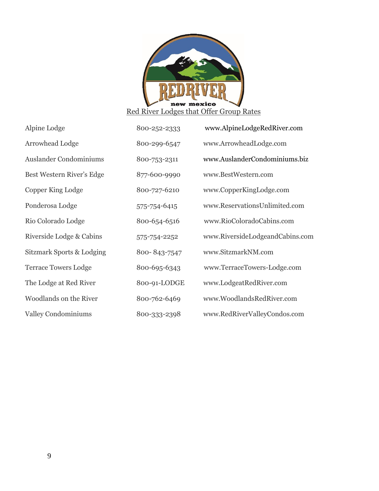

| Alpine Lodge                | 800-252-2333 | www.AlpineLodgeRedRiver.com     |
|-----------------------------|--------------|---------------------------------|
| Arrowhead Lodge             | 800-299-6547 | www.ArrowheadLodge.com          |
| Auslander Condominiums      | 800-753-2311 | www.AuslanderCondominiums.biz   |
| Best Western River's Edge   | 877-600-9990 | www.BestWestern.com             |
| Copper King Lodge           | 800-727-6210 | www.CopperKingLodge.com         |
| Ponderosa Lodge             | 575-754-6415 | www.ReservationsUnlimited.com   |
| Rio Colorado Lodge          | 800-654-6516 | www.RioColoradoCabins.com       |
| Riverside Lodge & Cabins    | 575-754-2252 | www.RiversideLodgeandCabins.com |
| Sitzmark Sports & Lodging   | 800-843-7547 | www.SitzmarkNM.com              |
| <b>Terrace Towers Lodge</b> | 800-695-6343 | www.TerraceTowers-Lodge.com     |
| The Lodge at Red River      | 800-91-LODGE | www.LodgeatRedRiver.com         |
| Woodlands on the River      | 800-762-6469 | www.WoodlandsRedRiver.com       |
| <b>Valley Condominiums</b>  | 800-333-2398 | www.RedRiverValleyCondos.com    |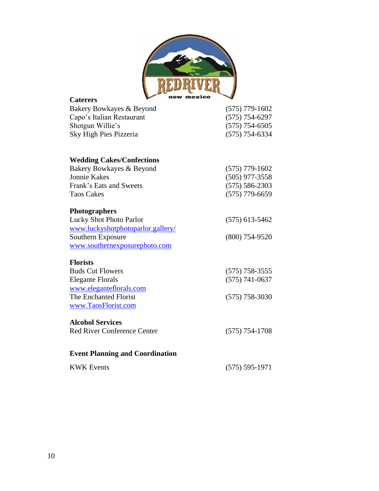

| <b>Caterers</b>                        | new mexico         | $\overline{\phantom{a}}$ |
|----------------------------------------|--------------------|--------------------------|
| Bakery Bowkayes & Beyond               |                    | $(575)$ 779-1602         |
| Capo's Italian Restaurant              | $(575) 754 - 6297$ |                          |
| Shotgun Willie's                       |                    | $(575) 754 - 6505$       |
| Sky High Pies Pizzeria                 |                    | $(575) 754 - 6334$       |
| <b>Wedding Cakes/Confections</b>       |                    |                          |
| Bakery Bowkayes & Beyond               |                    | $(575)$ 779-1602         |
| <b>Jonnie Kakes</b>                    |                    | $(505)$ 977-3558         |
| Frank's Eats and Sweets                |                    | $(575) 586 - 2303$       |
| <b>Taos Cakes</b>                      |                    | $(575)$ 779-6659         |
| <b>Photographers</b>                   |                    |                          |
| Lucky Shot Photo Parlor                |                    | $(575)$ 613-5462         |
| www.luckyshotphotoparlor.gallery/      |                    |                          |
| Southern Exposure                      |                    | $(800)$ 754-9520         |
| www.southernexposurephoto.com          |                    |                          |
| <b>Florists</b>                        |                    |                          |
| <b>Buds Cut Flowers</b>                |                    | $(575) 758 - 3555$       |
| <b>Elegante Florals</b>                |                    | $(575) 741 - 0637$       |
| www.eleganteflorals.com                |                    |                          |
| The Enchanted Florist                  |                    | $(575)$ 758-3030         |
| www.TaosFlorist.com                    |                    |                          |
| <b>Alcohol Services</b>                |                    |                          |
| <b>Red River Conference Center</b>     |                    | $(575) 754 - 1708$       |
| <b>Event Planning and Coordination</b> |                    |                          |
| <b>KWK Events</b>                      |                    | $(575) 595 - 1971$       |